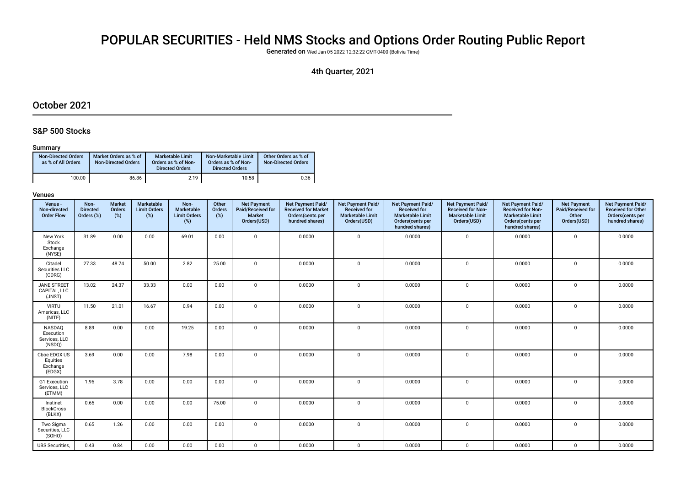# POPULAR SECURITIES - Held NMS Stocks and Options Order Routing Public Report

Generated on Wed Jan 05 2022 12:32:22 GMT-0400 (Bolivia Time)

### 4th Quarter, 2021

### October 2021

### S&P 500 Stocks

#### Summary

| <b>Non-Directed Orders</b><br>as % of All Orders | Market Orders as % of<br><b>Non-Directed Orders</b> | Marketable Limit<br>Orders as % of Non-<br><b>Directed Orders</b> | Non-Marketable Limit<br>Orders as % of Non-<br><b>Directed Orders</b> | Other Orders as % of<br><b>Non-Directed Orders</b> |
|--------------------------------------------------|-----------------------------------------------------|-------------------------------------------------------------------|-----------------------------------------------------------------------|----------------------------------------------------|
| 100.00                                           | 86.86                                               | 2.19                                                              | 10.58                                                                 | 0.36                                               |

| Venue -<br>Non-directed<br><b>Order Flow</b>   | Non-<br><b>Directed</b><br>Orders (%) | <b>Market</b><br>Orders<br>$(\%)$ | <b>Marketable</b><br><b>Limit Orders</b><br>(%) | Non-<br>Marketable<br><b>Limit Orders</b><br>(%) | Other<br>Orders<br>$(\%)$ | <b>Net Payment</b><br>Paid/Received for<br><b>Market</b><br>Orders(USD) | Net Payment Paid/<br><b>Received for Market</b><br>Orders(cents per<br>hundred shares) | Net Payment Paid/<br><b>Received for</b><br><b>Marketable Limit</b><br>Orders(USD) | Net Payment Paid/<br><b>Received for</b><br><b>Marketable Limit</b><br>Orders(cents per<br>hundred shares) | Net Payment Paid/<br><b>Received for Non-</b><br><b>Marketable Limit</b><br>Orders(USD) | Net Payment Paid/<br>Received for Non-<br><b>Marketable Limit</b><br>Orders(cents per<br>hundred shares) | <b>Net Payment</b><br>Paid/Received for<br>Other<br>Orders(USD) | Net Payment Paid/<br><b>Received for Other</b><br>Orders(cents per<br>hundred shares) |
|------------------------------------------------|---------------------------------------|-----------------------------------|-------------------------------------------------|--------------------------------------------------|---------------------------|-------------------------------------------------------------------------|----------------------------------------------------------------------------------------|------------------------------------------------------------------------------------|------------------------------------------------------------------------------------------------------------|-----------------------------------------------------------------------------------------|----------------------------------------------------------------------------------------------------------|-----------------------------------------------------------------|---------------------------------------------------------------------------------------|
| New York<br>Stock<br>Exchange<br>(NYSE)        | 31.89                                 | 0.00                              | 0.00                                            | 69.01                                            | 0.00                      | $\mathbf 0$                                                             | 0.0000                                                                                 | $\mathbf 0$                                                                        | 0.0000                                                                                                     | $\mathbf 0$                                                                             | 0.0000                                                                                                   | $\mathbf 0$                                                     | 0.0000                                                                                |
| Citadel<br>Securities LLC<br>(CDRG)            | 27.33                                 | 48.74                             | 50.00                                           | 2.82                                             | 25.00                     | $\mathbf 0$                                                             | 0.0000                                                                                 | $\mathbf{0}$                                                                       | 0.0000                                                                                                     | $\mathbf 0$                                                                             | 0.0000                                                                                                   | $\mathbf 0$                                                     | 0.0000                                                                                |
| <b>JANE STREET</b><br>CAPITAL, LLC<br>(JNST)   | 13.02                                 | 24.37                             | 33.33                                           | 0.00                                             | 0.00                      | $\mathbf 0$                                                             | 0.0000                                                                                 | $\mathbf{0}$                                                                       | 0.0000                                                                                                     | 0                                                                                       | 0.0000                                                                                                   | $\mathbf 0$                                                     | 0.0000                                                                                |
| <b>VIRTU</b><br>Americas, LLC<br>(NITE)        | 11.50                                 | 21.01                             | 16.67                                           | 0.94                                             | 0.00                      | $\mathbf{0}$                                                            | 0.0000                                                                                 | $\mathbf 0$                                                                        | 0.0000                                                                                                     | 0                                                                                       | 0.0000                                                                                                   | $\mathbf 0$                                                     | 0.0000                                                                                |
| NASDAQ<br>Execution<br>Services, LLC<br>(NSDQ) | 8.89                                  | 0.00                              | 0.00                                            | 19.25                                            | 0.00                      | $\mathbf 0$                                                             | 0.0000                                                                                 | $\mathbf{0}$                                                                       | 0.0000                                                                                                     | 0                                                                                       | 0.0000                                                                                                   | $\mathbf 0$                                                     | 0.0000                                                                                |
| Cboe EDGX US<br>Equities<br>Exchange<br>(EDGX) | 3.69                                  | 0.00                              | 0.00                                            | 7.98                                             | 0.00                      | $\Omega$                                                                | 0.0000                                                                                 | $\Omega$                                                                           | 0.0000                                                                                                     | $\mathbf 0$                                                                             | 0.0000                                                                                                   | $\mathbf 0$                                                     | 0.0000                                                                                |
| G1 Execution<br>Services, LLC<br>(ETMM)        | 1.95                                  | 3.78                              | 0.00                                            | 0.00                                             | 0.00                      | $\mathbf{0}$                                                            | 0.0000                                                                                 | $\mathbf{0}$                                                                       | 0.0000                                                                                                     | $\mathbf 0$                                                                             | 0.0000                                                                                                   | $\mathbf 0$                                                     | 0.0000                                                                                |
| Instinet<br><b>BlockCross</b><br>(BLKX)        | 0.65                                  | 0.00                              | 0.00                                            | 0.00                                             | 75.00                     | $\Omega$                                                                | 0.0000                                                                                 | $\mathbf{0}$                                                                       | 0.0000                                                                                                     | 0                                                                                       | 0.0000                                                                                                   | $\Omega$                                                        | 0.0000                                                                                |
| Two Sigma<br>Securities, LLC<br>(SOHO)         | 0.65                                  | 1.26                              | 0.00                                            | 0.00                                             | 0.00                      | $\mathbf 0$                                                             | 0.0000                                                                                 | $\mathbf{0}$                                                                       | 0.0000                                                                                                     | 0                                                                                       | 0.0000                                                                                                   | $\mathbf 0$                                                     | 0.0000                                                                                |
| <b>UBS Securities,</b>                         | 0.43                                  | 0.84                              | 0.00                                            | 0.00                                             | 0.00                      | $\mathbf 0$                                                             | 0.0000                                                                                 | $\mathbf{0}$                                                                       | 0.0000                                                                                                     | $\mathbf 0$                                                                             | 0.0000                                                                                                   | $\mathbf 0$                                                     | 0.0000                                                                                |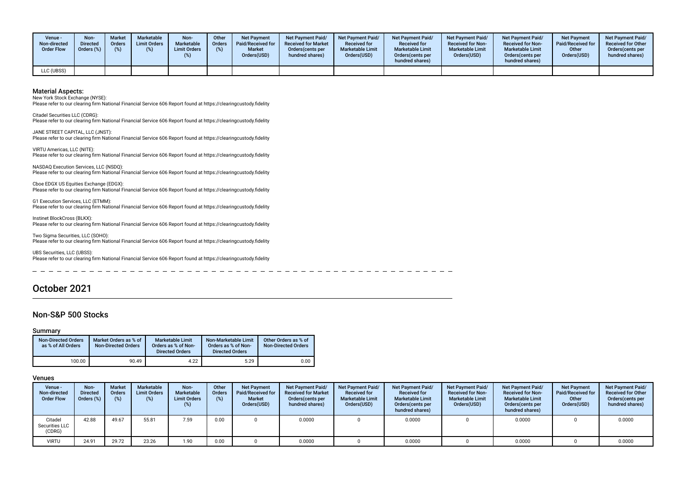| Venue ·<br>Non-directed<br><b>Order Flow</b> | Non-<br><b>Directed</b><br>Orders (%) | <b>Market</b><br>Orders<br>(%) | <b>Marketable</b><br><b>Limit Orders</b> | Non-<br>Marketable<br><b>Limit Orders</b> | Other<br>Orders<br>(%) | <b>Net Payment</b><br><b>Paid/Received for</b><br><b>Market</b><br>Orders(USD) | Net Payment Paid/<br><b>Received for Market</b><br>Orders (cents per<br>hundred shares) | <b>Net Payment Paid/</b><br><b>Received for</b><br><b>Marketable Limit</b><br>Orders(USD) | Net Payment Paid/<br><b>Received for</b><br><b>Marketable Limit</b><br>Orders (cents per<br>hundred shares) | Net Payment Paid/<br><b>Received for Non-</b><br><b>Marketable Limit</b><br>Orders(USD) | <b>Net Payment Paid/</b><br><b>Received for Non-</b><br><b>Marketable Limit</b><br>Orders(cents per<br>hundred shares) | <b>Net Payment</b><br>Paid/Received for<br>Other<br>Orders(USD) | <b>Net Payment Paid/</b><br><b>Received for Other</b><br>Orders(cents per<br>hundred shares) |
|----------------------------------------------|---------------------------------------|--------------------------------|------------------------------------------|-------------------------------------------|------------------------|--------------------------------------------------------------------------------|-----------------------------------------------------------------------------------------|-------------------------------------------------------------------------------------------|-------------------------------------------------------------------------------------------------------------|-----------------------------------------------------------------------------------------|------------------------------------------------------------------------------------------------------------------------|-----------------------------------------------------------------|----------------------------------------------------------------------------------------------|
| LLC (UBSS)                                   |                                       |                                |                                          |                                           |                        |                                                                                |                                                                                         |                                                                                           |                                                                                                             |                                                                                         |                                                                                                                        |                                                                 |                                                                                              |

New York Stock Exchange (NYSE):

Please refer to our clearing frm National Financial Service 606 Report found at https://clearingcustody.fdelity

Citadel Securities LLC (CDRG): Please refer to our clearing frm National Financial Service 606 Report found at https://clearingcustody.fdelity

JANE STREET CAPITAL, LLC (JNST): Please refer to our clearing frm National Financial Service 606 Report found at https://clearingcustody.fdelity

VIRTU Americas, LLC (NITE): Please refer to our clearing frm National Financial Service 606 Report found at https://clearingcustody.fdelity

NASDAQ Execution Services, LLC (NSDQ): Please refer to our clearing frm National Financial Service 606 Report found at https://clearingcustody.fdelity

Cboe EDGX US Equities Exchange (EDGX): Please refer to our clearing frm National Financial Service 606 Report found at https://clearingcustody.fdelity

G1 Execution Services, LLC (ETMM): Please refer to our clearing frm National Financial Service 606 Report found at https://clearingcustody.fdelity

Instinet BlockCross (BLKX): Please refer to our clearing frm National Financial Service 606 Report found at https://clearingcustody.fdelity

Two Sigma Securities, LLC (SOHO): Please refer to our clearing frm National Financial Service 606 Report found at https://clearingcustody.fdelity

UBS Securities, LLC (UBSS): Please refer to our clearing frm National Financial Service 606 Report found at https://clearingcustody.fdelity

### October 2021

### Non-S&P 500 Stocks

#### Summary

| <b>Non-Directed Orders</b><br>as % of All Orders | Market Orders as % of<br><b>Non-Directed Orders</b> | <b>Marketable Limit</b><br>Orders as % of Non-<br><b>Directed Orders</b> | Non-Marketable Limit<br>Orders as % of Non-<br><b>Directed Orders</b> | Other Orders as % of<br><b>Non-Directed Orders</b> |
|--------------------------------------------------|-----------------------------------------------------|--------------------------------------------------------------------------|-----------------------------------------------------------------------|----------------------------------------------------|
| 100.00                                           | 90.49                                               | 4.22                                                                     | 5.29                                                                  | 0.00                                               |

| Venue -<br>Non-directed<br><b>Order Flow</b> | Non-<br><b>Directed</b><br>Orders (%) | <b>Market</b><br><b>Orders</b><br>(%) | <b>Marketable</b><br><b>Limit Orders</b><br>(%) | Non-<br>Marketable<br><b>Limit Orders</b><br>(%) | Other<br><b>Orders</b><br>(%) | <b>Net Payment</b><br>Paid/Received for<br><b>Market</b><br>Orders(USD) | <b>Net Payment Paid/</b><br><b>Received for Market</b><br>Orders (cents per<br>hundred shares) | <b>Net Payment Paid/</b><br><b>Received for</b><br><b>Marketable Limit</b><br>Orders(USD) | <b>Net Payment Paid/</b><br><b>Received for</b><br><b>Marketable Limit</b><br>Orders (cents per<br>hundred shares) | <b>Net Payment Paid/</b><br><b>Received for Non-</b><br><b>Marketable Limit</b><br>Orders(USD) | <b>Net Payment Paid/</b><br><b>Received for Non-</b><br><b>Marketable Limit</b><br>Orders (cents per<br>hundred shares) | <b>Net Payment</b><br><b>Paid/Received for</b><br>Other<br>Orders(USD) | <b>Net Payment Paid/</b><br><b>Received for Other</b><br>Orders(cents per<br>hundred shares) |
|----------------------------------------------|---------------------------------------|---------------------------------------|-------------------------------------------------|--------------------------------------------------|-------------------------------|-------------------------------------------------------------------------|------------------------------------------------------------------------------------------------|-------------------------------------------------------------------------------------------|--------------------------------------------------------------------------------------------------------------------|------------------------------------------------------------------------------------------------|-------------------------------------------------------------------------------------------------------------------------|------------------------------------------------------------------------|----------------------------------------------------------------------------------------------|
| Citadel<br>Securities LLC<br>(CDRG)          | 42.88                                 | 49.67                                 | 55.81                                           | 7.59                                             | 0.00                          |                                                                         | 0.0000                                                                                         |                                                                                           | 0.0000                                                                                                             |                                                                                                | 0.0000                                                                                                                  |                                                                        | 0.0000                                                                                       |
| VIRTU                                        | 24.91                                 | 29.72                                 | 23.26                                           | 1.90                                             | 0.00                          |                                                                         | 0.0000                                                                                         |                                                                                           | 0.0000                                                                                                             |                                                                                                | 0.0000                                                                                                                  |                                                                        | 0.0000                                                                                       |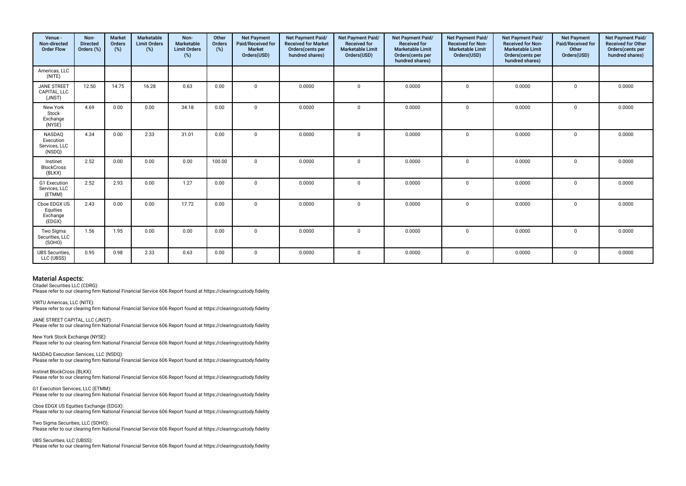| Venue -<br>Non-directed<br><b>Order Flow</b>          | Non-<br><b>Directed</b><br>Orders (%) | <b>Market</b><br>Orders<br>(%) | Marketable<br><b>Limit Orders</b><br>(%) | Non-<br>Marketable<br><b>Limit Orders</b><br>(%) | Other<br>Orders<br>(%) | <b>Net Payment</b><br>Paid/Received for<br><b>Market</b><br>Orders(USD) | Net Payment Paid/<br><b>Received for Market</b><br>Orders(cents per<br>hundred shares) | Net Payment Paid/<br>Received for<br><b>Marketable Limit</b><br>Orders(USD) | Net Payment Paid/<br>Received for<br><b>Marketable Limit</b><br>Orders(cents per<br>hundred shares) | Net Payment Paid/<br>Received for Non-<br><b>Marketable Limit</b><br>Orders(USD) | Net Payment Paid/<br><b>Received for Non-</b><br><b>Marketable Limit</b><br>Orders(cents per<br>hundred shares) | <b>Net Payment</b><br>Paid/Received for<br>Other<br>Orders(USD) | Net Payment Paid/<br>Received for Other<br>Orders(cents per<br>hundred shares) |
|-------------------------------------------------------|---------------------------------------|--------------------------------|------------------------------------------|--------------------------------------------------|------------------------|-------------------------------------------------------------------------|----------------------------------------------------------------------------------------|-----------------------------------------------------------------------------|-----------------------------------------------------------------------------------------------------|----------------------------------------------------------------------------------|-----------------------------------------------------------------------------------------------------------------|-----------------------------------------------------------------|--------------------------------------------------------------------------------|
| Americas, LLC<br>(NITE)                               |                                       |                                |                                          |                                                  |                        |                                                                         |                                                                                        |                                                                             |                                                                                                     |                                                                                  |                                                                                                                 |                                                                 |                                                                                |
| <b>JANE STREET</b><br>CAPITAL, LLC<br>(JNST)          | 12.50                                 | 14.75                          | 16.28                                    | 0.63                                             | 0.00                   | $\Omega$                                                                | 0.0000                                                                                 | $\mathbf 0$                                                                 | 0.0000                                                                                              | $\mathbf 0$                                                                      | 0.0000                                                                                                          | $\mathbf 0$                                                     | 0.0000                                                                         |
| New York<br>Stock<br>Exchange<br>(NYSE)               | 4.69                                  | 0.00                           | 0.00                                     | 34.18                                            | 0.00                   | $\Omega$                                                                | 0.0000                                                                                 | $\Omega$                                                                    | 0.0000                                                                                              | $\mathbf{0}$                                                                     | 0.0000                                                                                                          | $\Omega$                                                        | 0.0000                                                                         |
| <b>NASDAQ</b><br>Execution<br>Services, LLC<br>(NSDQ) | 4.34                                  | 0.00                           | 2.33                                     | 31.01                                            | 0.00                   | $\Omega$                                                                | 0.0000                                                                                 | $\Omega$                                                                    | 0.0000                                                                                              | $\Omega$                                                                         | 0.0000                                                                                                          | $\Omega$                                                        | 0.0000                                                                         |
| Instinet<br><b>BlockCross</b><br>(BLKX)               | 2.52                                  | 0.00                           | 0.00                                     | 0.00                                             | 100.00                 | $\Omega$                                                                | 0.0000                                                                                 | $\mathbf 0$                                                                 | 0.0000                                                                                              | $\mathbf 0$                                                                      | 0.0000                                                                                                          | 0                                                               | 0.0000                                                                         |
| G1 Execution<br>Services, LLC<br>(ETMM)               | 2.52                                  | 2.93                           | 0.00                                     | 1.27                                             | 0.00                   | $\Omega$                                                                | 0.0000                                                                                 | $\Omega$                                                                    | 0.0000                                                                                              | $\Omega$                                                                         | 0.0000                                                                                                          | $\Omega$                                                        | 0.0000                                                                         |
| Cboe EDGX US<br>Equities<br>Exchange<br>(EDGX)        | 2.43                                  | 0.00                           | 0.00                                     | 17.72                                            | 0.00                   | $\Omega$                                                                | 0.0000                                                                                 | $\mathbf 0$                                                                 | 0.0000                                                                                              | $\mathbf{0}$                                                                     | 0.0000                                                                                                          | 0                                                               | 0.0000                                                                         |
| Two Sigma<br>Securities, LLC<br>(SOHO)                | 1.56                                  | 1.95                           | 0.00                                     | 0.00                                             | 0.00                   | $\Omega$                                                                | 0.0000                                                                                 | $\Omega$                                                                    | 0.0000                                                                                              | $\mathbf 0$                                                                      | 0.0000                                                                                                          | $\mathbf{0}$                                                    | 0.0000                                                                         |
| <b>UBS</b> Securities,<br>LLC (UBSS)                  | 0.95                                  | 0.98                           | 2.33                                     | 0.63                                             | 0.00                   | $\Omega$                                                                | 0.0000                                                                                 | $\mathbf 0$                                                                 | 0.0000                                                                                              | $\mathbf{0}$                                                                     | 0.0000                                                                                                          | $\mathbf 0$                                                     | 0.0000                                                                         |

Citadel Securities LLC (CDRG):

Please refer to our clearing frm National Financial Service 606 Report found at https://clearingcustody.fdelity

VIRTU Americas, LLC (NITE): Please refer to our clearing frm National Financial Service 606 Report found at https://clearingcustody.fdelity

JANE STREET CAPITAL, LLC (JNST): Please refer to our clearing frm National Financial Service 606 Report found at https://clearingcustody.fdelity

New York Stock Exchange (NYSE): Please refer to our clearing frm National Financial Service 606 Report found at https://clearingcustody.fdelity

NASDAQ Execution Services, LLC (NSDQ): Please refer to our clearing frm National Financial Service 606 Report found at https://clearingcustody.fdelity

Instinet BlockCross (BLKX): Please refer to our clearing frm National Financial Service 606 Report found at https://clearingcustody.fdelity

G1 Execution Services, LLC (ETMM): Please refer to our clearing frm National Financial Service 606 Report found at https://clearingcustody.fdelity

Cboe EDGX US Equities Exchange (EDGX): Please refer to our clearing firm National Financial Service 606 Report found at https://clearingcustody.fidelity

Two Sigma Securities, LLC (SOHO): Please refer to our clearing frm National Financial Service 606 Report found at https://clearingcustody.fdelity

UBS Securities, LLC (UBSS): Please refer to our clearing frm National Financial Service 606 Report found at https://clearingcustody.fdelity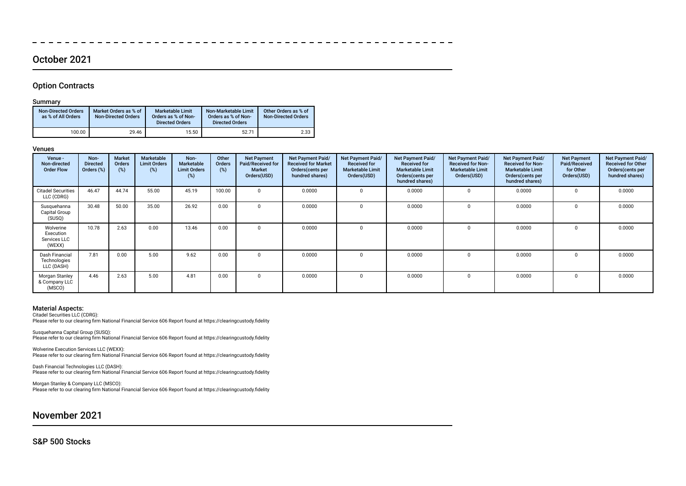### October 2021

### Option Contracts

### Summary

| <b>Non-Directed Orders</b><br>as % of All Orders | Market Orders as % of<br><b>Non-Directed Orders</b> | <b>Marketable Limit</b><br>Orders as % of Non-<br><b>Directed Orders</b> | Non-Marketable Limit<br>Orders as % of Non-<br><b>Directed Orders</b> | Other Orders as % of<br><b>Non-Directed Orders</b> |
|--------------------------------------------------|-----------------------------------------------------|--------------------------------------------------------------------------|-----------------------------------------------------------------------|----------------------------------------------------|
| 100.00                                           | 29.46                                               | 15.50                                                                    | 52.71                                                                 | 2.33                                               |

#### Venues

| Venue -<br>Non-directed<br><b>Order Flow</b>     | Non-<br><b>Directed</b><br>Orders (%) | Market<br>Orders<br>(%) | <b>Marketable</b><br><b>Limit Orders</b><br>(%) | Non-<br><b>Marketable</b><br><b>Limit Orders</b><br>(%) | Other<br>Orders<br>(%) | <b>Net Payment</b><br>Paid/Received for<br><b>Market</b><br>Orders(USD) | Net Payment Paid/<br><b>Received for Market</b><br>Orders (cents per<br>hundred shares) | Net Payment Paid/<br><b>Received for</b><br><b>Marketable Limit</b><br>Orders(USD) | Net Payment Paid/<br><b>Received for</b><br><b>Marketable Limit</b><br>Orders(cents per<br>hundred shares) | Net Payment Paid/<br><b>Received for Non-</b><br><b>Marketable Limit</b><br>Orders(USD) | <b>Net Payment Paid/</b><br><b>Received for Non-</b><br><b>Marketable Limit</b><br>Orders (cents per<br>hundred shares) | <b>Net Payment</b><br>Paid/Received<br>for Other<br>Orders(USD) | Net Payment Paid/<br><b>Received for Other</b><br>Orders (cents per<br>hundred shares) |
|--------------------------------------------------|---------------------------------------|-------------------------|-------------------------------------------------|---------------------------------------------------------|------------------------|-------------------------------------------------------------------------|-----------------------------------------------------------------------------------------|------------------------------------------------------------------------------------|------------------------------------------------------------------------------------------------------------|-----------------------------------------------------------------------------------------|-------------------------------------------------------------------------------------------------------------------------|-----------------------------------------------------------------|----------------------------------------------------------------------------------------|
| <b>Citadel Securities</b><br>LLC (CDRG)          | 46.47                                 | 44.74                   | 55.00                                           | 45.19                                                   | 100.00                 | $\Omega$                                                                | 0.0000                                                                                  |                                                                                    | 0.0000                                                                                                     |                                                                                         | 0.0000                                                                                                                  | $\Omega$                                                        | 0.0000                                                                                 |
| Susquehanna<br>Capital Group<br>(SUSQ)           | 30.48                                 | 50.00                   | 35.00                                           | 26.92                                                   | 0.00                   |                                                                         | 0.0000                                                                                  |                                                                                    | 0.0000                                                                                                     |                                                                                         | 0.0000                                                                                                                  |                                                                 | 0.0000                                                                                 |
| Wolverine<br>Execution<br>Services LLC<br>(WEXX) | 10.78                                 | 2.63                    | 0.00                                            | 13.46                                                   | 0.00                   | $\Omega$                                                                | 0.0000                                                                                  |                                                                                    | 0.0000                                                                                                     |                                                                                         | 0.0000                                                                                                                  | $\Omega$                                                        | 0.0000                                                                                 |
| Dash Financial<br>Technologies<br>LLC (DASH)     | 7.81                                  | 0.00                    | 5.00                                            | 9.62                                                    | 0.00                   |                                                                         | 0.0000                                                                                  |                                                                                    | 0.0000                                                                                                     |                                                                                         | 0.0000                                                                                                                  |                                                                 | 0.0000                                                                                 |
| Morgan Stanley<br>& Company LLC<br>(MSCO)        | 4.46                                  | 2.63                    | 5.00                                            | 4.81                                                    | 0.00                   | $\Omega$                                                                | 0.0000                                                                                  |                                                                                    | 0.0000                                                                                                     |                                                                                         | 0.0000                                                                                                                  |                                                                 | 0.0000                                                                                 |

 $-$ 

#### Material Aspects:

Citadel Securities LLC (CDRG): Please refer to our clearing frm National Financial Service 606 Report found at https://clearingcustody.fdelity

Susquehanna Capital Group (SUSQ): Please refer to our clearing frm National Financial Service 606 Report found at https://clearingcustody.fdelity

Wolverine Execution Services LLC (WEXX): Please refer to our clearing frm National Financial Service 606 Report found at https://clearingcustody.fdelity

Dash Financial Technologies LLC (DASH): Please refer to our clearing firm National Financial Service 606 Report found at https://clearingcustody.fidelity

Morgan Stanley & Company LLC (MSCO): Please refer to our clearing frm National Financial Service 606 Report found at https://clearingcustody.fdelity

November 2021

S&P 500 Stocks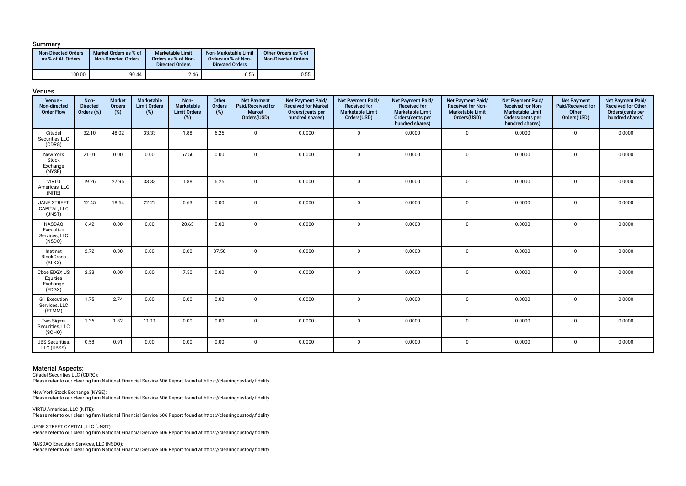#### Summary

| <b>Non-Directed Orders</b><br>as % of All Orders | Market Orders as % of<br><b>Non-Directed Orders</b> | <b>Marketable Limit</b><br>Orders as % of Non-<br><b>Directed Orders</b> | Non-Marketable Limit<br>Orders as % of Non-<br><b>Directed Orders</b> | Other Orders as % of<br><b>Non-Directed Orders</b> |
|--------------------------------------------------|-----------------------------------------------------|--------------------------------------------------------------------------|-----------------------------------------------------------------------|----------------------------------------------------|
| 100.00                                           | 90.44                                               | 2.46                                                                     | 6.56                                                                  | 0.55                                               |

#### Venues

| Venue -<br>Non-directed<br><b>Order Flow</b>   | Non-<br><b>Directed</b><br>Orders (%) | Market<br>Orders<br>(%) | Marketable<br><b>Limit Orders</b><br>(%) | Non-<br>Marketable<br><b>Limit Orders</b><br>(%) | Other<br>Orders<br>(%) | <b>Net Payment</b><br>Paid/Received for<br>Market<br>Orders(USD) | Net Payment Paid/<br><b>Received for Market</b><br>Orders(cents per<br>hundred shares) | Net Payment Paid/<br><b>Received for</b><br><b>Marketable Limit</b><br>Orders(USD) | Net Payment Paid/<br><b>Received for</b><br><b>Marketable Limit</b><br>Orders(cents per<br>hundred shares) | Net Payment Paid/<br><b>Received for Non-</b><br><b>Marketable Limit</b><br>Orders(USD) | Net Payment Paid/<br><b>Received for Non-</b><br><b>Marketable Limit</b><br>Orders(cents per<br>hundred shares) | <b>Net Payment</b><br>Paid/Received for<br>Other<br>Orders(USD) | Net Payment Paid/<br>Received for Other<br>Orders(cents per<br>hundred shares) |
|------------------------------------------------|---------------------------------------|-------------------------|------------------------------------------|--------------------------------------------------|------------------------|------------------------------------------------------------------|----------------------------------------------------------------------------------------|------------------------------------------------------------------------------------|------------------------------------------------------------------------------------------------------------|-----------------------------------------------------------------------------------------|-----------------------------------------------------------------------------------------------------------------|-----------------------------------------------------------------|--------------------------------------------------------------------------------|
| Citadel<br>Securities LLC<br>(CDRG)            | 32.10                                 | 48.02                   | 33.33                                    | 1.88                                             | 6.25                   | $\mathbf 0$                                                      | 0.0000                                                                                 | $\mathbf 0$                                                                        | 0.0000                                                                                                     | $\mathbf 0$                                                                             | 0.0000                                                                                                          | $\mathbf 0$                                                     | 0.0000                                                                         |
| New York<br>Stock<br>Exchange<br>(NYSE)        | 21.01                                 | 0.00                    | 0.00                                     | 67.50                                            | 0.00                   | $\Omega$                                                         | 0.0000                                                                                 | $\mathbf 0$                                                                        | 0.0000                                                                                                     | $\mathbf 0$                                                                             | 0.0000                                                                                                          | $\mathbf 0$                                                     | 0.0000                                                                         |
| <b>VIRTU</b><br>Americas, LLC<br>(NITE)        | 19.26                                 | 27.96                   | 33.33                                    | 1.88                                             | 6.25                   | $\Omega$                                                         | 0.0000                                                                                 | $\mathsf 0$                                                                        | 0.0000                                                                                                     | $\mathbf 0$                                                                             | 0.0000                                                                                                          | $\mathsf 0$                                                     | 0.0000                                                                         |
| <b>JANE STREET</b><br>CAPITAL, LLC<br>(JNST)   | 12.45                                 | 18.54                   | 22.22                                    | 0.63                                             | 0.00                   | $\Omega$                                                         | 0.0000                                                                                 | $\mathbf 0$                                                                        | 0.0000                                                                                                     | $\mathbf 0$                                                                             | 0.0000                                                                                                          | $\mathbf 0$                                                     | 0.0000                                                                         |
| NASDAQ<br>Execution<br>Services, LLC<br>(NSDQ) | 6.42                                  | 0.00                    | 0.00                                     | 20.63                                            | 0.00                   | $\mathbf 0$                                                      | 0.0000                                                                                 | $\mathbf 0$                                                                        | 0.0000                                                                                                     | $\mathbf 0$                                                                             | 0.0000                                                                                                          | $\mathbf 0$                                                     | 0.0000                                                                         |
| Instinet<br><b>BlockCross</b><br>(BLKX)        | 2.72                                  | 0.00                    | 0.00                                     | 0.00                                             | 87.50                  | $\Omega$                                                         | 0.0000                                                                                 | $\mathbf 0$                                                                        | 0.0000                                                                                                     | $\mathbf 0$                                                                             | 0.0000                                                                                                          | $\mathsf 0$                                                     | 0.0000                                                                         |
| Cboe EDGX US<br>Equities<br>Exchange<br>(EDGX) | 2.33                                  | 0.00                    | 0.00                                     | 7.50                                             | 0.00                   | $\mathbf 0$                                                      | 0.0000                                                                                 | $\mathbf 0$                                                                        | 0.0000                                                                                                     | $\mathbf 0$                                                                             | 0.0000                                                                                                          | $\mathbf 0$                                                     | 0.0000                                                                         |
| G1 Execution<br>Services, LLC<br>(ETMM)        | 1.75                                  | 2.74                    | 0.00                                     | 0.00                                             | 0.00                   | $\mathbf 0$                                                      | 0.0000                                                                                 | $\mathbf 0$                                                                        | 0.0000                                                                                                     | $\mathbf 0$                                                                             | 0.0000                                                                                                          | $\mathbf 0$                                                     | 0.0000                                                                         |
| Two Sigma<br>Securities, LLC<br>(SOHO)         | 1.36                                  | 1.82                    | 11.11                                    | 0.00                                             | 0.00                   | $\mathbf 0$                                                      | 0.0000                                                                                 | $\mathbf 0$                                                                        | 0.0000                                                                                                     | $\mathbf 0$                                                                             | 0.0000                                                                                                          | 0                                                               | 0.0000                                                                         |
| <b>UBS Securities,</b><br>LLC (UBSS)           | 0.58                                  | 0.91                    | 0.00                                     | 0.00                                             | 0.00                   | $\mathbf 0$                                                      | 0.0000                                                                                 | $\mathbf 0$                                                                        | 0.0000                                                                                                     | $\mathbf 0$                                                                             | 0.0000                                                                                                          | $\mathbf 0$                                                     | 0.0000                                                                         |

#### Material Aspects:

Citadel Securities LLC (CDRG):

Please refer to our clearing frm National Financial Service 606 Report found at https://clearingcustody.fdelity

New York Stock Exchange (NYSE): Please refer to our clearing frm National Financial Service 606 Report found at https://clearingcustody.fdelity

VIRTU Americas, LLC (NITE): Please refer to our clearing frm National Financial Service 606 Report found at https://clearingcustody.fdelity

JANE STREET CAPITAL, LLC (JNST): Please refer to our clearing frm National Financial Service 606 Report found at https://clearingcustody.fdelity

NASDAQ Execution Services, LLC (NSDQ): Please refer to our clearing frm National Financial Service 606 Report found at https://clearingcustody.fdelity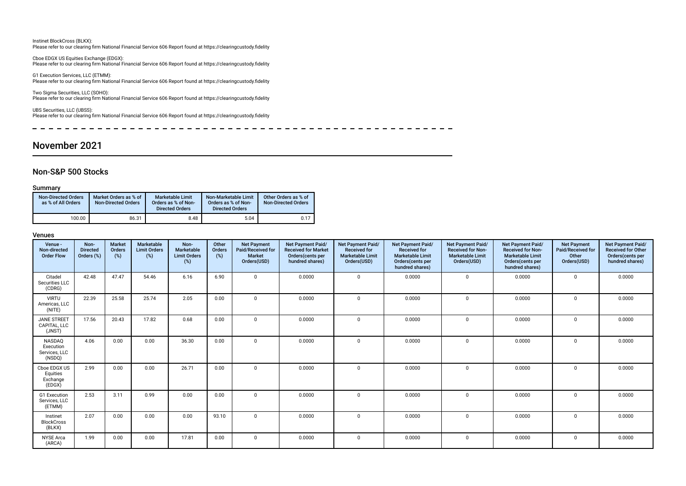#### Instinet BlockCross (BLKX): Please refer to our clearing frm National Financial Service 606 Report found at https://clearingcustody.fdelity

Cboe EDGX US Equities Exchange (EDGX): Please refer to our clearing frm National Financial Service 606 Report found at https://clearingcustody.fdelity

G1 Execution Services, LLC (ETMM): Please refer to our clearing frm National Financial Service 606 Report found at https://clearingcustody.fdelity

Two Sigma Securities, LLC (SOHO): Please refer to our clearing frm National Financial Service 606 Report found at https://clearingcustody.fdelity

UBS Securities, LLC (UBSS): Please refer to our clearing frm National Financial Service 606 Report found at https://clearingcustody.fdelity

 $\sim$  $\sim$  $\sim$   $\sim$  $\overline{a}$  $-$ 

### November 2021

### Non-S&P 500 Stocks

#### Summary

| <b>Non-Directed Orders</b><br>as % of All Orders | Market Orders as % of<br><b>Non-Directed Orders</b> | <b>Marketable Limit</b><br>Orders as % of Non-<br><b>Directed Orders</b> | Non-Marketable Limit<br>Orders as % of Non-<br><b>Directed Orders</b> | Other Orders as % of<br><b>Non-Directed Orders</b> |
|--------------------------------------------------|-----------------------------------------------------|--------------------------------------------------------------------------|-----------------------------------------------------------------------|----------------------------------------------------|
| 100.00                                           | 86.31                                               | 8.48                                                                     | 5.04                                                                  | 0.17                                               |

| Venue -<br>Non-directed<br><b>Order Flow</b>   | Non-<br><b>Directed</b><br>Orders (%) | <b>Market</b><br>Orders<br>(%) | Marketable<br><b>Limit Orders</b><br>(%) | Non-<br>Marketable<br><b>Limit Orders</b><br>(%) | Other<br>Orders<br>(%) | <b>Net Payment</b><br>Paid/Received for<br><b>Market</b><br>Orders(USD) | Net Payment Paid/<br><b>Received for Market</b><br>Orders(cents per<br>hundred shares) | Net Payment Paid/<br><b>Received for</b><br><b>Marketable Limit</b><br>Orders(USD) | <b>Net Payment Paid/</b><br><b>Received for</b><br><b>Marketable Limit</b><br>Orders(cents per<br>hundred shares) | <b>Net Payment Paid/</b><br><b>Received for Non-</b><br><b>Marketable Limit</b><br>Orders(USD) | <b>Net Payment Paid/</b><br><b>Received for Non-</b><br><b>Marketable Limit</b><br>Orders(cents per<br>hundred shares) | <b>Net Payment</b><br>Paid/Received for<br>Other<br>Orders(USD) | Net Payment Paid/<br><b>Received for Other</b><br>Orders(cents per<br>hundred shares) |
|------------------------------------------------|---------------------------------------|--------------------------------|------------------------------------------|--------------------------------------------------|------------------------|-------------------------------------------------------------------------|----------------------------------------------------------------------------------------|------------------------------------------------------------------------------------|-------------------------------------------------------------------------------------------------------------------|------------------------------------------------------------------------------------------------|------------------------------------------------------------------------------------------------------------------------|-----------------------------------------------------------------|---------------------------------------------------------------------------------------|
| Citadel<br>Securities LLC<br>(CDRG)            | 42.48                                 | 47.47                          | 54.46                                    | 6.16                                             | 6.90                   | $\Omega$                                                                | 0.0000                                                                                 | $\mathbf 0$                                                                        | 0.0000                                                                                                            | $\mathbf 0$                                                                                    | 0.0000                                                                                                                 | $\mathbf 0$                                                     | 0.0000                                                                                |
| <b>VIRTU</b><br>Americas, LLC<br>(NITE)        | 22.39                                 | 25.58                          | 25.74                                    | 2.05                                             | 0.00                   | $\Omega$                                                                | 0.0000                                                                                 | $\mathbf 0$                                                                        | 0.0000                                                                                                            | $\Omega$                                                                                       | 0.0000                                                                                                                 | $\mathbf 0$                                                     | 0.0000                                                                                |
| <b>JANE STREET</b><br>CAPITAL, LLC<br>(JNST)   | 17.56                                 | 20.43                          | 17.82                                    | 0.68                                             | 0.00                   | $\Omega$                                                                | 0.0000                                                                                 | $\mathbf 0$                                                                        | 0.0000                                                                                                            | $\mathbf{0}$                                                                                   | 0.0000                                                                                                                 | $\Omega$                                                        | 0.0000                                                                                |
| NASDAQ<br>Execution<br>Services, LLC<br>(NSDQ) | 4.06                                  | 0.00                           | 0.00                                     | 36.30                                            | 0.00                   | $\Omega$                                                                | 0.0000                                                                                 | $\mathbf 0$                                                                        | 0.0000                                                                                                            | $\mathbf{0}$                                                                                   | 0.0000                                                                                                                 | $\Omega$                                                        | 0.0000                                                                                |
| Cboe EDGX US<br>Equities<br>Exchange<br>(EDGX) | 2.99                                  | 0.00                           | 0.00                                     | 26.71                                            | 0.00                   | $\Omega$                                                                | 0.0000                                                                                 | $\Omega$                                                                           | 0.0000                                                                                                            | $\mathbf{0}$                                                                                   | 0.0000                                                                                                                 | $\Omega$                                                        | 0.0000                                                                                |
| G1 Execution<br>Services, LLC<br>(ETMM)        | 2.53                                  | 3.11                           | 0.99                                     | 0.00                                             | 0.00                   | $\Omega$                                                                | 0.0000                                                                                 | $\mathbf 0$                                                                        | 0.0000                                                                                                            | $\Omega$                                                                                       | 0.0000                                                                                                                 | $\Omega$                                                        | 0.0000                                                                                |
| Instinet<br><b>BlockCross</b><br>(BLKX)        | 2.07                                  | 0.00                           | 0.00                                     | 0.00                                             | 93.10                  | $\Omega$                                                                | 0.0000                                                                                 | $\mathbf 0$                                                                        | 0.0000                                                                                                            | $\Omega$                                                                                       | 0.0000                                                                                                                 | $\mathbf 0$                                                     | 0.0000                                                                                |
| <b>NYSE Arca</b><br>(ARCA)                     | 1.99                                  | 0.00                           | 0.00                                     | 17.81                                            | 0.00                   | $\Omega$                                                                | 0.0000                                                                                 | $\mathbf 0$                                                                        | 0.0000                                                                                                            | $\mathbf{0}$                                                                                   | 0.0000                                                                                                                 | $\mathbf 0$                                                     | 0.0000                                                                                |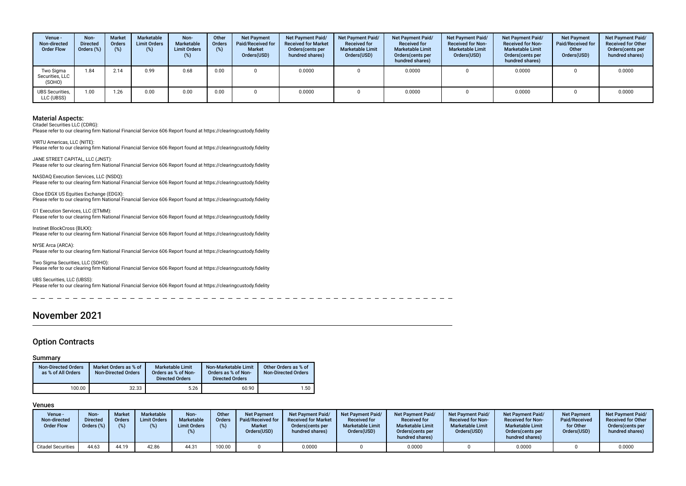| Venue -<br>Non-directed<br><b>Order Flow</b> | Non-<br>Directed<br>Orders (%) | <b>Market</b><br><b>Orders</b><br>(%) | Marketable<br><b>Limit Orders</b><br>$(\%)$ | Non-<br>Marketable<br><b>Limit Orders</b><br>(%) | Other<br>Orders<br>(%) | <b>Net Payment</b><br>Paid/Received for<br><b>Market</b><br>Orders(USD) | Net Payment Paid/<br><b>Received for Market</b><br>Orders (cents per<br>hundred shares) | Net Payment Paid/<br><b>Received for</b><br><b>Marketable Limit</b><br>Orders(USD) | Net Payment Paid/<br><b>Received for</b><br><b>Marketable Limit</b><br>Orders(cents per<br>hundred shares) | <b>Net Payment Paid/</b><br><b>Received for Non-</b><br><b>Marketable Limit</b><br>Orders(USD) | Net Payment Paid/<br><b>Received for Non-</b><br><b>Marketable Limit</b><br>Orders (cents per<br>hundred shares) | <b>Net Payment</b><br>Paid/Received for<br>Other<br>Orders(USD) | Net Payment Paid/<br><b>Received for Other</b><br>Orders(cents per<br>hundred shares) |
|----------------------------------------------|--------------------------------|---------------------------------------|---------------------------------------------|--------------------------------------------------|------------------------|-------------------------------------------------------------------------|-----------------------------------------------------------------------------------------|------------------------------------------------------------------------------------|------------------------------------------------------------------------------------------------------------|------------------------------------------------------------------------------------------------|------------------------------------------------------------------------------------------------------------------|-----------------------------------------------------------------|---------------------------------------------------------------------------------------|
| Two Sigma<br>Securities, LLC<br>(SOHO)       | 1.84                           | 2.14                                  | 0.99                                        | 0.68                                             | 0.00                   |                                                                         | 0.0000                                                                                  |                                                                                    | 0.0000                                                                                                     |                                                                                                | 0.0000                                                                                                           |                                                                 | 0.0000                                                                                |
| <b>UBS Securities,</b><br>LLC (UBSS)         | 1.00                           | 1.26                                  | 0.00                                        | 0.00                                             | 0.00                   |                                                                         | 0.0000                                                                                  |                                                                                    | 0.0000                                                                                                     |                                                                                                | 0.0000                                                                                                           |                                                                 | 0.0000                                                                                |

Citadel Securities LLC (CDRG): Please refer to our clearing frm National Financial Service 606 Report found at https://clearingcustody.fdelity

VIRTU Americas, LLC (NITE): Please refer to our clearing frm National Financial Service 606 Report found at https://clearingcustody.fdelity

JANE STREET CAPITAL, LLC (JNST): Please refer to our clearing frm National Financial Service 606 Report found at https://clearingcustody.fdelity

NASDAQ Execution Services, LLC (NSDQ): Please refer to our clearing frm National Financial Service 606 Report found at https://clearingcustody.fdelity

Cboe EDGX US Equities Exchange (EDGX): Please refer to our clearing frm National Financial Service 606 Report found at https://clearingcustody.fdelity

G1 Execution Services, LLC (ETMM): Please refer to our clearing frm National Financial Service 606 Report found at https://clearingcustody.fdelity

Instinet BlockCross (BLKX): Please refer to our clearing frm National Financial Service 606 Report found at https://clearingcustody.fdelity

NYSE Arca (ARCA): Please refer to our clearing frm National Financial Service 606 Report found at https://clearingcustody.fdelity

Two Sigma Securities, LLC (SOHO): Please refer to our clearing frm National Financial Service 606 Report found at https://clearingcustody.fdelity

UBS Securities, LLC (UBSS): Please refer to our clearing frm National Financial Service 606 Report found at https://clearingcustody.fdelity

### November 2021

### Option Contracts

#### Summary

| <b>Non-Directed Orders</b><br>as % of All Orders | Market Orders as % of<br><b>Non-Directed Orders</b> | <b>Marketable Limit</b><br>Orders as % of Non-<br><b>Directed Orders</b> | Non-Marketable Limit<br>Orders as % of Non-<br><b>Directed Orders</b> | Other Orders as % of<br>Non-Directed Orders |
|--------------------------------------------------|-----------------------------------------------------|--------------------------------------------------------------------------|-----------------------------------------------------------------------|---------------------------------------------|
| 100.00                                           | 32.33                                               | 5.26                                                                     | 60.90                                                                 | 1.50                                        |

| Venue -<br>Non-directed<br><b>Order Flow</b> | Non-<br>Directed<br>Orders (%) | <b>Market</b><br>Orders | <b>Marketable</b><br><b>Limit Orders</b><br>(%) | Non-<br><b>Marketable</b><br><b>Limit Orders</b> | Other<br>Orders | <b>Net Payment</b><br>Paid/Received for<br><b>Market</b><br>Orders(USD) | <b>Net Payment Paid/</b><br><b>Received for Market</b><br>Orders (cents per<br>hundred shares) | Net Payment Paid/<br><b>Received for</b><br><b>Marketable Limit</b><br>Orders(USD) | Net Payment Paid/<br><b>Received for</b><br><b>Marketable Limit</b><br>Orders (cents per<br>hundred shares) | <b>Net Payment Paid/</b><br><b>Received for Non-</b><br><b>Marketable Limit</b><br>Orders(USD) | <b>Net Payment Paid/</b><br><b>Received for Non-</b><br><b>Marketable Limit</b><br>Orders(cents per<br>hundred shares) | <b>Net Payment</b><br>Paid/Received<br>for Other<br>Orders(USD) | <b>Net Payment Paid/</b><br><b>Received for Other</b><br>Orders(cents per<br>hundred shares) |
|----------------------------------------------|--------------------------------|-------------------------|-------------------------------------------------|--------------------------------------------------|-----------------|-------------------------------------------------------------------------|------------------------------------------------------------------------------------------------|------------------------------------------------------------------------------------|-------------------------------------------------------------------------------------------------------------|------------------------------------------------------------------------------------------------|------------------------------------------------------------------------------------------------------------------------|-----------------------------------------------------------------|----------------------------------------------------------------------------------------------|
| Citadel Securities                           | 44.63                          | 44.19                   | 42.86                                           | 44.31                                            | 100.00          |                                                                         | 0.0000                                                                                         |                                                                                    | 0.0000                                                                                                      |                                                                                                | 0.0000                                                                                                                 |                                                                 | 0.0000                                                                                       |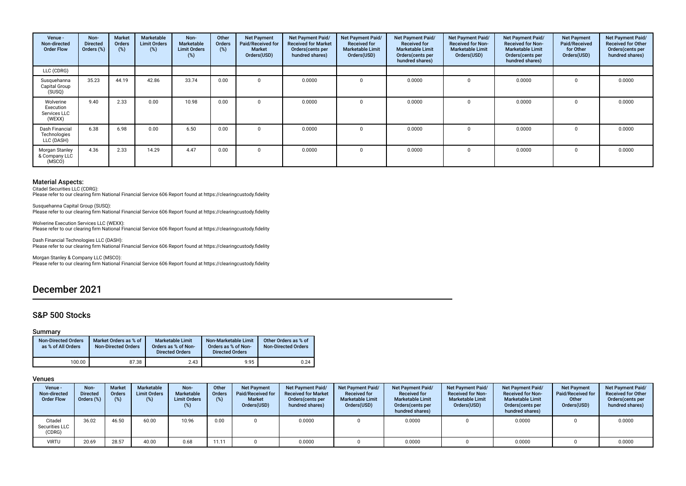| Venue -<br>Non-directed<br><b>Order Flow</b>     | Non-<br><b>Directed</b><br>Orders (%) | Market<br>Orders<br>(%) | <b>Marketable</b><br><b>Limit Orders</b><br>(%) | Non-<br>Marketable<br><b>Limit Orders</b><br>(%) | Other<br><b>Orders</b><br>(%) | <b>Net Payment</b><br>Paid/Received for<br><b>Market</b><br>Orders(USD) | Net Payment Paid/<br><b>Received for Market</b><br>Orders (cents per<br>hundred shares) | Net Payment Paid/<br><b>Received for</b><br><b>Marketable Limit</b><br>Orders(USD) | Net Payment Paid/<br><b>Received for</b><br><b>Marketable Limit</b><br>Orders(cents per<br>hundred shares) | Net Payment Paid/<br><b>Received for Non-</b><br><b>Marketable Limit</b><br>Orders(USD) | Net Payment Paid/<br><b>Received for Non-</b><br><b>Marketable Limit</b><br>Orders(cents per<br>hundred shares) | <b>Net Payment</b><br>Paid/Received<br>for Other<br>Orders(USD) | Net Payment Paid/<br><b>Received for Other</b><br>Orders(cents per<br>hundred shares) |
|--------------------------------------------------|---------------------------------------|-------------------------|-------------------------------------------------|--------------------------------------------------|-------------------------------|-------------------------------------------------------------------------|-----------------------------------------------------------------------------------------|------------------------------------------------------------------------------------|------------------------------------------------------------------------------------------------------------|-----------------------------------------------------------------------------------------|-----------------------------------------------------------------------------------------------------------------|-----------------------------------------------------------------|---------------------------------------------------------------------------------------|
| LLC (CDRG)                                       |                                       |                         |                                                 |                                                  |                               |                                                                         |                                                                                         |                                                                                    |                                                                                                            |                                                                                         |                                                                                                                 |                                                                 |                                                                                       |
| Susquehanna<br>Capital Group<br>(SUSQ)           | 35.23                                 | 44.19                   | 42.86                                           | 33.74                                            | 0.00                          |                                                                         | 0.0000                                                                                  | $\Omega$                                                                           | 0.0000                                                                                                     |                                                                                         | 0.0000                                                                                                          | 0                                                               | 0.0000                                                                                |
| Wolverine<br>Execution<br>Services LLC<br>(WEXX) | 9.40                                  | 2.33                    | 0.00                                            | 10.98                                            | 0.00                          |                                                                         | 0.0000                                                                                  | $\Omega$                                                                           | 0.0000                                                                                                     |                                                                                         | 0.0000                                                                                                          | $\Omega$                                                        | 0.0000                                                                                |
| Dash Financial<br>Technologies<br>LLC (DASH)     | 6.38                                  | 6.98                    | 0.00                                            | 6.50                                             | 0.00                          | $\Omega$                                                                | 0.0000                                                                                  | $\Omega$                                                                           | 0.0000                                                                                                     |                                                                                         | 0.0000                                                                                                          | $\Omega$                                                        | 0.0000                                                                                |
| Morgan Stanley<br>& Company LLC<br>(MSCO)        | 4.36                                  | 2.33                    | 14.29                                           | 4.47                                             | 0.00                          | $\Omega$                                                                | 0.0000                                                                                  | $\Omega$                                                                           | 0.0000                                                                                                     |                                                                                         | 0.0000                                                                                                          | $\Omega$                                                        | 0.0000                                                                                |

Citadel Securities LLC (CDRG): Please refer to our clearing frm National Financial Service 606 Report found at https://clearingcustody.fdelity

Susquehanna Capital Group (SUSQ): Please refer to our clearing frm National Financial Service 606 Report found at https://clearingcustody.fdelity

Wolverine Execution Services LLC (WEXX): Please refer to our clearing frm National Financial Service 606 Report found at https://clearingcustody.fdelity

Dash Financial Technologies LLC (DASH): Please refer to our clearing frm National Financial Service 606 Report found at https://clearingcustody.fdelity

Morgan Stanley & Company LLC (MSCO): Please refer to our clearing frm National Financial Service 606 Report found at https://clearingcustody.fdelity

## December 2021

### S&P 500 Stocks

#### Summary

| <b>Non-Directed Orders</b><br>as % of All Orders | Market Orders as % of<br><b>Non-Directed Orders</b> | Marketable Limit<br>Orders as % of Non-<br><b>Directed Orders</b> | Non-Marketable Limit<br>Orders as % of Non-<br><b>Directed Orders</b> | Other Orders as % of<br><b>Non-Directed Orders</b> |
|--------------------------------------------------|-----------------------------------------------------|-------------------------------------------------------------------|-----------------------------------------------------------------------|----------------------------------------------------|
| 100.00                                           | 87.38                                               | 2.43                                                              | 9.95                                                                  | 0.24                                               |

| Venue -<br>Non-directed<br><b>Order Flow</b> | Non-<br><b>Directed</b><br>Orders (%) | <b>Market</b><br><b>Orders</b><br>(%) | <b>Marketable</b><br><b>Limit Orders</b><br>$(\%)$ | Non-<br>Marketable<br><b>Limit Orders</b><br>(%) | Other<br><b>Orders</b><br>(%) | <b>Net Payment</b><br>Paid/Received for<br><b>Market</b><br>Orders(USD) | Net Payment Paid/<br><b>Received for Market</b><br>Orders (cents per<br>hundred shares) | <b>Net Payment Paid/</b><br><b>Received for</b><br><b>Marketable Limit</b><br>Orders(USD) | <b>Net Payment Paid/</b><br><b>Received for</b><br><b>Marketable Limit</b><br>Orders(cents per<br>hundred shares) | <b>Net Payment Paid/</b><br><b>Received for Non-</b><br><b>Marketable Limit</b><br>Orders(USD) | <b>Net Payment Paid/</b><br><b>Received for Non-</b><br><b>Marketable Limit</b><br>Orders (cents per<br>hundred shares) | <b>Net Payment</b><br>Paid/Received for<br>Other<br>Orders(USD) | <b>Net Payment Paid/</b><br><b>Received for Other</b><br>Orders (cents per<br>hundred shares) |
|----------------------------------------------|---------------------------------------|---------------------------------------|----------------------------------------------------|--------------------------------------------------|-------------------------------|-------------------------------------------------------------------------|-----------------------------------------------------------------------------------------|-------------------------------------------------------------------------------------------|-------------------------------------------------------------------------------------------------------------------|------------------------------------------------------------------------------------------------|-------------------------------------------------------------------------------------------------------------------------|-----------------------------------------------------------------|-----------------------------------------------------------------------------------------------|
| Citadel<br>Securities LLC<br>(CDRG)          | 36.02                                 | 46.50                                 | 60.00                                              | 10.96                                            | 0.00                          |                                                                         | 0.0000                                                                                  |                                                                                           | 0.0000                                                                                                            |                                                                                                | 0.0000                                                                                                                  |                                                                 | 0.0000                                                                                        |
| VIRTU                                        | 20.69                                 | 28.57                                 | 40.00                                              | 0.68                                             | 11.1                          |                                                                         | 0.0000                                                                                  |                                                                                           | 0.0000                                                                                                            |                                                                                                | 0.0000                                                                                                                  |                                                                 | 0.0000                                                                                        |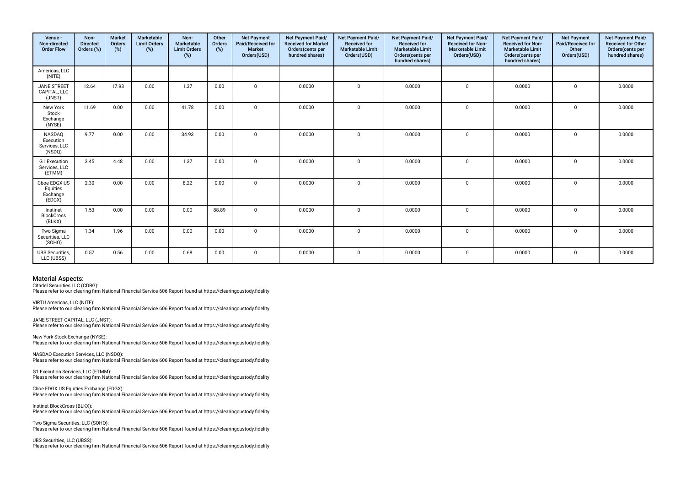| Venue -<br>Non-directed<br><b>Order Flow</b>          | Non-<br><b>Directed</b><br>Orders (%) | <b>Market</b><br><b>Orders</b><br>(%) | Marketable<br><b>Limit Orders</b><br>(%) | Non-<br>Marketable<br><b>Limit Orders</b><br>(%) | Other<br>Orders<br>(%) | <b>Net Payment</b><br>Paid/Received for<br><b>Market</b><br>Orders(USD) | Net Payment Paid/<br><b>Received for Market</b><br>Orders(cents per<br>hundred shares) | Net Payment Paid/<br><b>Received for</b><br><b>Marketable Limit</b><br>Orders(USD) | Net Payment Paid/<br><b>Received for</b><br><b>Marketable Limit</b><br>Orders(cents per<br>hundred shares) | Net Payment Paid/<br><b>Received for Non-</b><br><b>Marketable Limit</b><br>Orders(USD) | Net Payment Paid/<br><b>Received for Non-</b><br><b>Marketable Limit</b><br>Orders(cents per<br>hundred shares) | <b>Net Payment</b><br>Paid/Received for<br>Other<br>Orders(USD) | Net Payment Paid/<br><b>Received for Other</b><br>Orders(cents per<br>hundred shares) |
|-------------------------------------------------------|---------------------------------------|---------------------------------------|------------------------------------------|--------------------------------------------------|------------------------|-------------------------------------------------------------------------|----------------------------------------------------------------------------------------|------------------------------------------------------------------------------------|------------------------------------------------------------------------------------------------------------|-----------------------------------------------------------------------------------------|-----------------------------------------------------------------------------------------------------------------|-----------------------------------------------------------------|---------------------------------------------------------------------------------------|
| Americas, LLC<br>(NITE)                               |                                       |                                       |                                          |                                                  |                        |                                                                         |                                                                                        |                                                                                    |                                                                                                            |                                                                                         |                                                                                                                 |                                                                 |                                                                                       |
| <b>JANE STREET</b><br>CAPITAL, LLC<br>(JNST)          | 12.64                                 | 17.93                                 | 0.00                                     | 1.37                                             | 0.00                   | $\Omega$                                                                | 0.0000                                                                                 | $\Omega$                                                                           | 0.0000                                                                                                     | $\mathbf 0$                                                                             | 0.0000                                                                                                          | $\mathbf 0$                                                     | 0.0000                                                                                |
| New York<br>Stock<br>Exchange<br>(NYSE)               | 11.69                                 | 0.00                                  | 0.00                                     | 41.78                                            | 0.00                   | $\Omega$                                                                | 0.0000                                                                                 | $\Omega$                                                                           | 0.0000                                                                                                     | $\mathbf{0}$                                                                            | 0.0000                                                                                                          | $\mathbf 0$                                                     | 0.0000                                                                                |
| <b>NASDAQ</b><br>Execution<br>Services, LLC<br>(NSDQ) | 9.77                                  | 0.00                                  | 0.00                                     | 34.93                                            | 0.00                   | $\Omega$                                                                | 0.0000                                                                                 | $\Omega$                                                                           | 0.0000                                                                                                     | $\mathbf 0$                                                                             | 0.0000                                                                                                          | $\mathbf 0$                                                     | 0.0000                                                                                |
| G1 Execution<br>Services, LLC<br>(ETMM)               | 3.45                                  | 4.48                                  | 0.00                                     | 1.37                                             | 0.00                   | $\Omega$                                                                | 0.0000                                                                                 | $\Omega$                                                                           | 0.0000                                                                                                     | $\mathbf 0$                                                                             | 0.0000                                                                                                          | 0                                                               | 0.0000                                                                                |
| Cboe EDGX US<br>Equities<br>Exchange<br>(EDGX)        | 2.30                                  | 0.00                                  | 0.00                                     | 8.22                                             | 0.00                   | $\Omega$                                                                | 0.0000                                                                                 | $\Omega$                                                                           | 0.0000                                                                                                     | $\mathbf 0$                                                                             | 0.0000                                                                                                          | $\Omega$                                                        | 0.0000                                                                                |
| Instinet<br><b>BlockCross</b><br>(BLKX)               | 1.53                                  | 0.00                                  | 0.00                                     | 0.00                                             | 88.89                  | $\mathbf 0$                                                             | 0.0000                                                                                 | $\mathbf 0$                                                                        | 0.0000                                                                                                     | $\mathbf{0}$                                                                            | 0.0000                                                                                                          | $\mathbf 0$                                                     | 0.0000                                                                                |
| Two Sigma<br>Securities, LLC<br>(SOHO)                | 1.34                                  | 1.96                                  | 0.00                                     | 0.00                                             | 0.00                   | $\Omega$                                                                | 0.0000                                                                                 | $\Omega$                                                                           | 0.0000                                                                                                     | $\mathbf 0$                                                                             | 0.0000                                                                                                          | $\mathbf{0}$                                                    | 0.0000                                                                                |
| <b>UBS</b> Securities,<br>LLC (UBSS)                  | 0.57                                  | 0.56                                  | 0.00                                     | 0.68                                             | 0.00                   | $\mathbf 0$                                                             | 0.0000                                                                                 | $\mathbf 0$                                                                        | 0.0000                                                                                                     | $\mathbf{0}$                                                                            | 0.0000                                                                                                          | $\mathbf 0$                                                     | 0.0000                                                                                |

Citadel Securities LLC (CDRG):

Please refer to our clearing frm National Financial Service 606 Report found at https://clearingcustody.fdelity

VIRTU Americas, LLC (NITE): Please refer to our clearing frm National Financial Service 606 Report found at https://clearingcustody.fdelity

JANE STREET CAPITAL, LLC (JNST): Please refer to our clearing frm National Financial Service 606 Report found at https://clearingcustody.fdelity

New York Stock Exchange (NYSE): Please refer to our clearing frm National Financial Service 606 Report found at https://clearingcustody.fdelity

NASDAQ Execution Services, LLC (NSDQ): Please refer to our clearing frm National Financial Service 606 Report found at https://clearingcustody.fdelity

G1 Execution Services, LLC (ETMM): Please refer to our clearing frm National Financial Service 606 Report found at https://clearingcustody.fdelity

Cboe EDGX US Equities Exchange (EDGX): Please refer to our clearing frm National Financial Service 606 Report found at https://clearingcustody.fdelity

Instinet BlockCross (BLKX): Please refer to our clearing frm National Financial Service 606 Report found at https://clearingcustody.fdelity

Two Sigma Securities, LLC (SOHO): Please refer to our clearing frm National Financial Service 606 Report found at https://clearingcustody.fdelity

UBS Securities, LLC (UBSS): Please refer to our clearing frm National Financial Service 606 Report found at https://clearingcustody.fdelity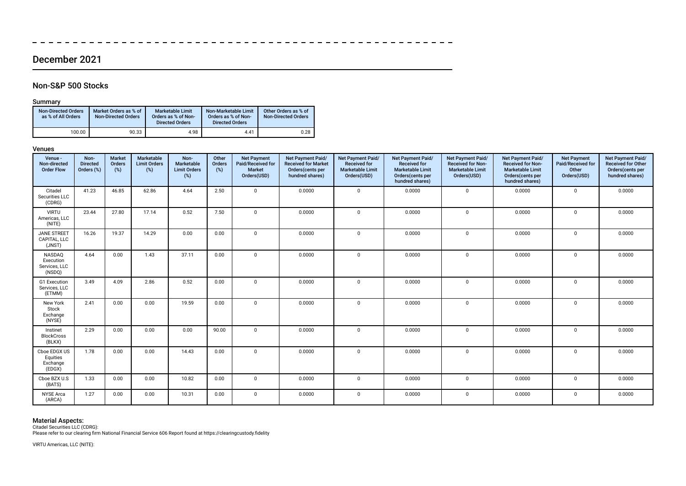### December 2021

 $- - - - - - -$ 

 $\equiv$   $\equiv$ 

### Non-S&P 500 Stocks

### Summary

 $\overline{\phantom{a}}$ 

| <b>Non-Directed Orders</b><br>as % of All Orders | Market Orders as % of<br><b>Non-Directed Orders</b> | <b>Marketable Limit</b><br>Orders as % of Non-<br><b>Directed Orders</b> | Non-Marketable Limit<br>Orders as % of Non-<br><b>Directed Orders</b> | Other Orders as % of<br>Non-Directed Orders |
|--------------------------------------------------|-----------------------------------------------------|--------------------------------------------------------------------------|-----------------------------------------------------------------------|---------------------------------------------|
| 100.00                                           | 90.33                                               | 4.98                                                                     | 4.41                                                                  | 0.28                                        |

#### Venues

| Venue -<br>Non-directed<br><b>Order Flow</b>   | Non-<br><b>Directed</b><br>Orders (%) | <b>Market</b><br>Orders<br>(%) | <b>Marketable</b><br><b>Limit Orders</b><br>(%) | Non-<br>Marketable<br><b>Limit Orders</b><br>(%) | Other<br>Orders<br>(%) | <b>Net Payment</b><br>Paid/Received for<br><b>Market</b><br>Orders(USD) | Net Payment Paid/<br><b>Received for Market</b><br>Orders(cents per<br>hundred shares) | Net Payment Paid/<br><b>Received for</b><br><b>Marketable Limit</b><br>Orders(USD) | Net Payment Paid/<br><b>Received for</b><br><b>Marketable Limit</b><br>Orders(cents per<br>hundred shares) | Net Payment Paid/<br><b>Received for Non-</b><br><b>Marketable Limit</b><br>Orders(USD) | Net Payment Paid/<br><b>Received for Non-</b><br><b>Marketable Limit</b><br>Orders(cents per<br>hundred shares) | <b>Net Payment</b><br>Paid/Received for<br>Other<br>Orders(USD) | Net Payment Paid/<br><b>Received for Other</b><br>Orders(cents per<br>hundred shares) |
|------------------------------------------------|---------------------------------------|--------------------------------|-------------------------------------------------|--------------------------------------------------|------------------------|-------------------------------------------------------------------------|----------------------------------------------------------------------------------------|------------------------------------------------------------------------------------|------------------------------------------------------------------------------------------------------------|-----------------------------------------------------------------------------------------|-----------------------------------------------------------------------------------------------------------------|-----------------------------------------------------------------|---------------------------------------------------------------------------------------|
| Citadel<br>Securities LLC<br>(CDRG)            | 41.23                                 | 46.85                          | 62.86                                           | 4.64                                             | 2.50                   | $\Omega$                                                                | 0.0000                                                                                 | $\mathbf 0$                                                                        | 0.0000                                                                                                     | $\mathbf 0$                                                                             | 0.0000                                                                                                          | $\mathbf 0$                                                     | 0.0000                                                                                |
| <b>VIRTU</b><br>Americas, LLC<br>(NITE)        | 23.44                                 | 27.80                          | 17.14                                           | 0.52                                             | 7.50                   | $\Omega$                                                                | 0.0000                                                                                 | $\mathbf{0}$                                                                       | 0.0000                                                                                                     | $\mathbf{0}$                                                                            | 0.0000                                                                                                          | $\mathbf 0$                                                     | 0.0000                                                                                |
| JANE STREET<br>CAPITAL, LLC<br>(JNST)          | 16.26                                 | 19.37                          | 14.29                                           | 0.00                                             | 0.00                   | $\mathbf 0$                                                             | 0.0000                                                                                 | $\mathbf 0$                                                                        | 0.0000                                                                                                     | $\mathbf 0$                                                                             | 0.0000                                                                                                          | $\mathbf 0$                                                     | 0.0000                                                                                |
| NASDAQ<br>Execution<br>Services, LLC<br>(NSDQ) | 4.64                                  | 0.00                           | 1.43                                            | 37.11                                            | 0.00                   | $\mathbf 0$                                                             | 0.0000                                                                                 | $\mathbf 0$                                                                        | 0.0000                                                                                                     | $\mathbf{0}$                                                                            | 0.0000                                                                                                          | $\Omega$                                                        | 0.0000                                                                                |
| G1 Execution<br>Services, LLC<br>(ETMM)        | 3.49                                  | 4.09                           | 2.86                                            | 0.52                                             | 0.00                   | $\Omega$                                                                | 0.0000                                                                                 | $\mathbf 0$                                                                        | 0.0000                                                                                                     | 0                                                                                       | 0.0000                                                                                                          | $\Omega$                                                        | 0.0000                                                                                |
| New York<br>Stock<br>Exchange<br>(NYSE)        | 2.41                                  | 0.00                           | 0.00                                            | 19.59                                            | 0.00                   | $\Omega$                                                                | 0.0000                                                                                 | $\mathbf{0}$                                                                       | 0.0000                                                                                                     | $\mathbf 0$                                                                             | 0.0000                                                                                                          | $\Omega$                                                        | 0.0000                                                                                |
| Instinet<br><b>BlockCross</b><br>(BLKX)        | 2.29                                  | 0.00                           | 0.00                                            | 0.00                                             | 90.00                  | $\mathbf 0$                                                             | 0.0000                                                                                 | $\Omega$                                                                           | 0.0000                                                                                                     | $\mathbf 0$                                                                             | 0.0000                                                                                                          | $\Omega$                                                        | 0.0000                                                                                |
| Cboe EDGX US<br>Equities<br>Exchange<br>(EDGX) | 1.78                                  | 0.00                           | 0.00                                            | 14.43                                            | 0.00                   | $\Omega$                                                                | 0.0000                                                                                 | $\mathbf{0}$                                                                       | 0.0000                                                                                                     | $\mathbf{0}$                                                                            | 0.0000                                                                                                          | $\Omega$                                                        | 0.0000                                                                                |
| Cboe BZX U.S<br>(BATS)                         | 1.33                                  | 0.00                           | 0.00                                            | 10.82                                            | 0.00                   | $\mathbf 0$                                                             | 0.0000                                                                                 | 0                                                                                  | 0.0000                                                                                                     | $\mathbf{0}$                                                                            | 0.0000                                                                                                          | $\Omega$                                                        | 0.0000                                                                                |
| <b>NYSE Arca</b><br>(ARCA)                     | 1.27                                  | 0.00                           | 0.00                                            | 10.31                                            | 0.00                   | $^{\circ}$                                                              | 0.0000                                                                                 | 0                                                                                  | 0.0000                                                                                                     | $\mathbf 0$                                                                             | 0.0000                                                                                                          | $\mathbf 0$                                                     | 0.0000                                                                                |

 $-$ 

 $\overline{\phantom{0}}$  $\overline{\phantom{a}}$   $-$ 

 $\frac{1}{2}$  $\overline{\phantom{0}}$   $-$ 

 $\equiv$  $\equiv$ 

**Material Aspects:**<br>Citadel Securities LLC (CDRG):<br>Please refer to our clearing firm National Financial Service 606 Report found at https://clearingcustody.fidelity

VIRTU Americas, LLC (NITE):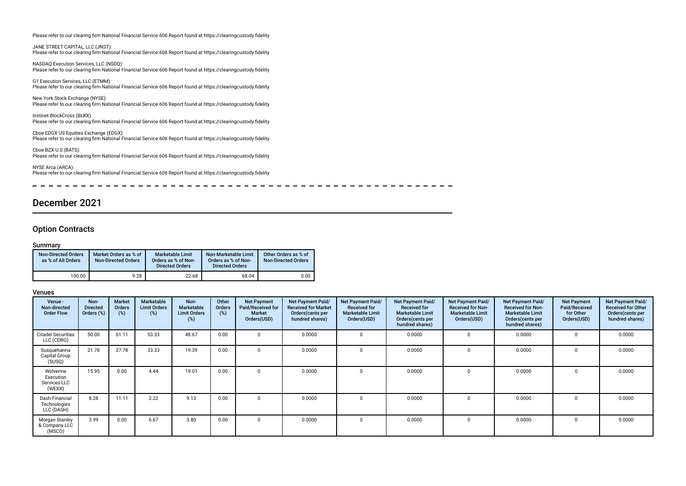Please refer to our clearing frm National Financial Service 606 Report found at https://clearingcustody.fdelity

JANE STREET CAPITAL, LLC (JNST): Please refer to our clearing frm National Financial Service 606 Report found at https://clearingcustody.fdelity

NASDAQ Execution Services, LLC (NSDQ): Please refer to our clearing frm National Financial Service 606 Report found at https://clearingcustody.fdelity

G1 Execution Services, LLC (ETMM): Please refer to our clearing frm National Financial Service 606 Report found at https://clearingcustody.fdelity

New York Stock Exchange (NYSE): Please refer to our clearing frm National Financial Service 606 Report found at https://clearingcustody.fdelity

Instinet BlockCross (BLKX): Please refer to our clearing frm National Financial Service 606 Report found at https://clearingcustody.fdelity

Cboe EDGX US Equities Exchange (EDGX): Please refer to our clearing frm National Financial Service 606 Report found at https://clearingcustody.fdelity

Cboe BZX U.S (BATS): Please refer to our clearing firm National Financial Service 606 Report found at https://clearingcustody.fidelity

NYSE Arca (ARCA): Please refer to our clearing frm National Financial Service 606 Report found at https://clearingcustody.fdelity

---------- $\frac{1}{2}$  and  $\frac{1}{2}$  and  $\frac{1}{2}$  and  $\frac{1}{2}$  $\overline{\phantom{a}}$  $\frac{1}{2}$  $\frac{1}{2}$ 

### December 2021

#### Option Contracts

#### Summary

| <b>Non-Directed Orders</b><br>as % of All Orders | Market Orders as % of<br><b>Non-Directed Orders</b> | Marketable Limit<br>Orders as % of Non-<br><b>Directed Orders</b> | Non-Marketable Limit<br>Orders as % of Non-<br><b>Directed Orders</b> | Other Orders as % of<br><b>Non-Directed Orders</b> |
|--------------------------------------------------|-----------------------------------------------------|-------------------------------------------------------------------|-----------------------------------------------------------------------|----------------------------------------------------|
| 100.00                                           | 9.28                                                | 22.68                                                             | 68.04                                                                 | 0.00                                               |

| Venue -<br>Non-directed<br><b>Order Flow</b>     | Non-<br><b>Directed</b><br>Orders (%) | <b>Market</b><br>Orders<br>(%) | Marketable<br><b>Limit Orders</b><br>(%) | Non-<br>Marketable<br><b>Limit Orders</b><br>(%) | Other<br>Orders<br>(%) | <b>Net Payment</b><br>Paid/Received for<br><b>Market</b><br>Orders(USD) | Net Payment Paid/<br><b>Received for Market</b><br>Orders (cents per<br>hundred shares) | Net Payment Paid/<br><b>Received for</b><br><b>Marketable Limit</b><br>Orders(USD) | Net Payment Paid/<br><b>Received for</b><br><b>Marketable Limit</b><br>Orders (cents per<br>hundred shares) | Net Payment Paid/<br><b>Received for Non-</b><br><b>Marketable Limit</b><br>Orders(USD) | Net Payment Paid/<br><b>Received for Non-</b><br><b>Marketable Limit</b><br>Orders (cents per<br>hundred shares) | <b>Net Payment</b><br>Paid/Received<br>for Other<br>Orders(USD) | Net Payment Paid/<br><b>Received for Other</b><br>Orders(cents per<br>hundred shares) |
|--------------------------------------------------|---------------------------------------|--------------------------------|------------------------------------------|--------------------------------------------------|------------------------|-------------------------------------------------------------------------|-----------------------------------------------------------------------------------------|------------------------------------------------------------------------------------|-------------------------------------------------------------------------------------------------------------|-----------------------------------------------------------------------------------------|------------------------------------------------------------------------------------------------------------------|-----------------------------------------------------------------|---------------------------------------------------------------------------------------|
| <b>Citadel Securities</b><br>LLC (CDRG)          | 50.00                                 | 61.11                          | 53.33                                    | 48.67                                            | 0.00                   |                                                                         | 0.0000                                                                                  |                                                                                    | 0.0000                                                                                                      | $\Omega$                                                                                | 0.0000                                                                                                           |                                                                 | 0.0000                                                                                |
| Susquehanna<br>Capital Group<br>(SUSQ)           | 21.78                                 | 27.78                          | 33.33                                    | 19.39                                            | 0.00                   |                                                                         | 0.0000                                                                                  | $\Omega$                                                                           | 0.0000                                                                                                      | 0                                                                                       | 0.0000                                                                                                           | $\Omega$                                                        | 0.0000                                                                                |
| Wolverine<br>Execution<br>Services LLC<br>(WEXX) | 15.95                                 | 0.00                           | 4.44                                     | 19.01                                            | 0.00                   |                                                                         | 0.0000                                                                                  | $\Omega$                                                                           | 0.0000                                                                                                      | $\Omega$                                                                                | 0.0000                                                                                                           | $\Omega$                                                        | 0.0000                                                                                |
| Dash Financial<br>Technologies<br>LLC (DASH)     | 8.28                                  | 11.11                          | 2.22                                     | 9.13                                             | 0.00                   |                                                                         | 0.0000                                                                                  | $\Omega$                                                                           | 0.0000                                                                                                      | $\Omega$                                                                                | 0.0000                                                                                                           | $\Omega$                                                        | 0.0000                                                                                |
| Morgan Stanley<br>& Company LLC<br>(MSCO)        | 3.99                                  | 0.00                           | 6.67                                     | 3.80                                             | 0.00                   |                                                                         | 0.0000                                                                                  | $^{\circ}$                                                                         | 0.0000                                                                                                      | $\Omega$                                                                                | 0.0000                                                                                                           | $\Omega$                                                        | 0.0000                                                                                |